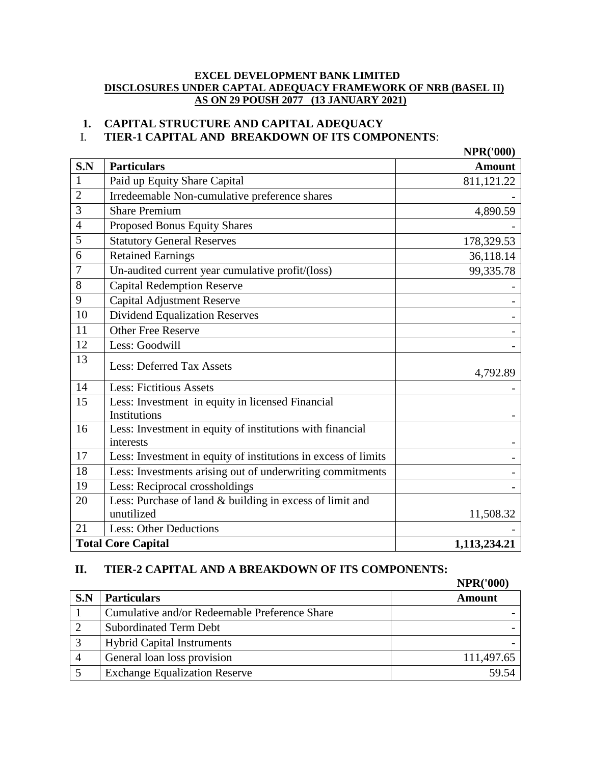#### **EXCEL DEVELOPMENT BANK LIMITED DISCLOSURES UNDER CAPTAL ADEQUACY FRAMEWORK OF NRB (BASEL II) AS ON 29 POUSH 2077 (13 JANUARY 2021)**

# **1. CAPITAL STRUCTURE AND CAPITAL ADEQUACY**

# I. **TIER-1 CAPITAL AND BREAKDOWN OF ITS COMPONENTS**:

|                 |                                                                | <b>NPR('000)</b> |
|-----------------|----------------------------------------------------------------|------------------|
| S.N             | <b>Particulars</b>                                             | <b>Amount</b>    |
| $\mathbf{1}$    | Paid up Equity Share Capital                                   | 811,121.22       |
| $\overline{2}$  | Irredeemable Non-cumulative preference shares                  |                  |
| 3               | <b>Share Premium</b>                                           | 4,890.59         |
| $\overline{4}$  | Proposed Bonus Equity Shares                                   |                  |
| 5               | <b>Statutory General Reserves</b>                              | 178,329.53       |
| 6               | <b>Retained Earnings</b>                                       | 36,118.14        |
| $\tau$          | Un-audited current year cumulative profit/(loss)               | 99,335.78        |
| 8               | <b>Capital Redemption Reserve</b>                              |                  |
| 9               | <b>Capital Adjustment Reserve</b>                              |                  |
| $\overline{10}$ | <b>Dividend Equalization Reserves</b>                          |                  |
| 11              | <b>Other Free Reserve</b>                                      |                  |
| 12              | Less: Goodwill                                                 |                  |
| 13              | <b>Less: Deferred Tax Assets</b>                               | 4,792.89         |
| 14              | <b>Less: Fictitious Assets</b>                                 |                  |
| 15              | Less: Investment in equity in licensed Financial               |                  |
|                 | Institutions                                                   |                  |
| 16              | Less: Investment in equity of institutions with financial      |                  |
|                 | interests                                                      |                  |
| 17              | Less: Investment in equity of institutions in excess of limits |                  |
| 18              | Less: Investments arising out of underwriting commitments      |                  |
| 19              | Less: Reciprocal crossholdings                                 |                  |
| 20              | Less: Purchase of land & building in excess of limit and       |                  |
|                 | unutilized                                                     | 11,508.32        |
| 21              | Less: Other Deductions                                         |                  |
|                 | <b>Total Core Capital</b>                                      | 1,113,234.21     |

#### **II. TIER-2 CAPITAL AND A BREAKDOWN OF ITS COMPONENTS:**

| S.N | <b>Particulars</b>                            | <b>Amount</b> |
|-----|-----------------------------------------------|---------------|
|     | Cumulative and/or Redeemable Preference Share |               |
|     | <b>Subordinated Term Debt</b>                 |               |
|     | <b>Hybrid Capital Instruments</b>             |               |
| 4   | General loan loss provision                   | 111,497.65    |
|     | <b>Exchange Equalization Reserve</b>          | 59.54         |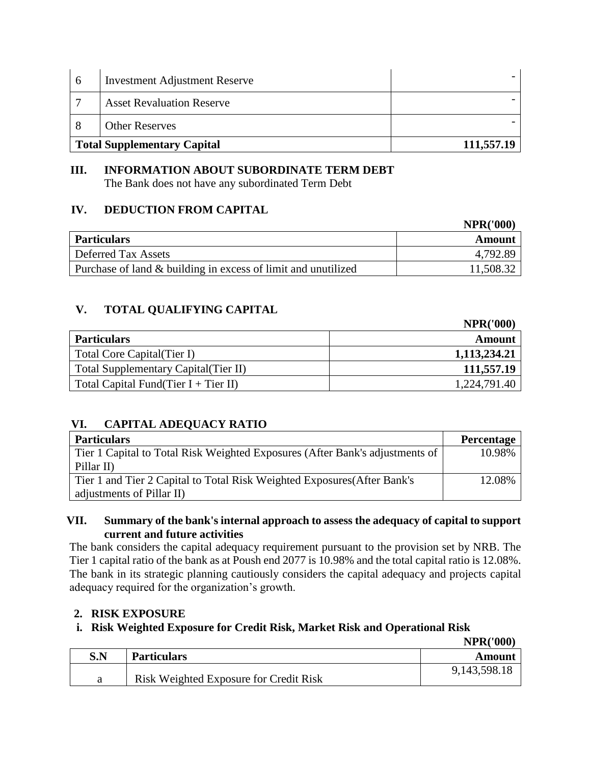| 6                                  | <b>Investment Adjustment Reserve</b> |            |
|------------------------------------|--------------------------------------|------------|
| $\overline{ }$                     | <b>Asset Revaluation Reserve</b>     |            |
|                                    | <b>Other Reserves</b>                |            |
| <b>Total Supplementary Capital</b> |                                      | 111,557.19 |

## **III. INFORMATION ABOUT SUBORDINATE TERM DEBT** The Bank does not have any subordinated Term Debt

## **IV. DEDUCTION FROM CAPITAL**

|                                                               | <b>NPR('000)</b> |
|---------------------------------------------------------------|------------------|
| <b>Particulars</b>                                            | Amount           |
| Deferred Tax Assets                                           | 4,792.89         |
| Purchase of land & building in excess of limit and unutilized | 11,508.32        |

# **V. TOTAL QUALIFYING CAPITAL**

|                                       | <b>NPR('000)</b> |
|---------------------------------------|------------------|
| <b>Particulars</b>                    | Amount           |
| Total Core Capital (Tier I)           | 1,113,234.21     |
| Total Supplementary Capital (Tier II) | 111,557.19       |
| Total Capital Fund(Tier I + Tier II)  | 1,224,791.40     |

# **VI. CAPITAL ADEQUACY RATIO**

| <b>Particulars</b>                                                           | <b>Percentage</b> |
|------------------------------------------------------------------------------|-------------------|
| Tier 1 Capital to Total Risk Weighted Exposures (After Bank's adjustments of | 10.98%            |
| Pillar II)                                                                   |                   |
| Tier 1 and Tier 2 Capital to Total Risk Weighted Exposures (After Bank's     | 12.08%            |
| adjustments of Pillar II)                                                    |                   |

## **VII. Summary of the bank's internal approach to assess the adequacy of capital to support current and future activities**

The bank considers the capital adequacy requirement pursuant to the provision set by NRB. The Tier 1 capital ratio of the bank as at Poush end 2077 is 10.98% and the total capital ratio is 12.08%. The bank in its strategic planning cautiously considers the capital adequacy and projects capital adequacy required for the organization's growth.

## **2. RISK EXPOSURE**

## **i. Risk Weighted Exposure for Credit Risk, Market Risk and Operational Risk**

**NPR('000)**

**NPR('000)**

| $\mathbf{S}.\mathbf{N}$ | <b>Particulars</b>                     | Amount       |
|-------------------------|----------------------------------------|--------------|
|                         | Risk Weighted Exposure for Credit Risk | 9,143,598.18 |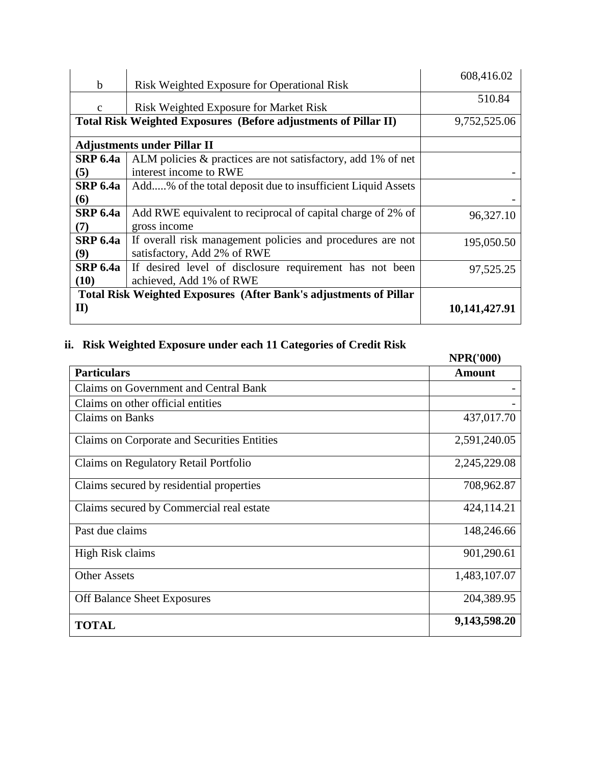|                 |                                                                          | 608,416.02    |
|-----------------|--------------------------------------------------------------------------|---------------|
| b               | <b>Risk Weighted Exposure for Operational Risk</b>                       |               |
| $\mathbf{c}$    | Risk Weighted Exposure for Market Risk                                   | 510.84        |
|                 | Total Risk Weighted Exposures (Before adjustments of Pillar II)          | 9,752,525.06  |
|                 | <b>Adjustments under Pillar II</b>                                       |               |
| <b>SRP 6.4a</b> | ALM policies & practices are not satisfactory, add 1% of net             |               |
| (5)             | interest income to RWE                                                   |               |
| <b>SRP 6.4a</b> | Add% of the total deposit due to insufficient Liquid Assets              |               |
| (6)             |                                                                          |               |
| <b>SRP 6.4a</b> | Add RWE equivalent to reciprocal of capital charge of 2% of              | 96,327.10     |
| (7)             | gross income                                                             |               |
| <b>SRP 6.4a</b> | If overall risk management policies and procedures are not               | 195,050.50    |
| (9)             | satisfactory, Add 2% of RWE                                              |               |
| <b>SRP 6.4a</b> | If desired level of disclosure requirement has not been                  | 97,525.25     |
| (10)            | achieved, Add 1% of RWE                                                  |               |
|                 | <b>Total Risk Weighted Exposures (After Bank's adjustments of Pillar</b> |               |
| $\mathbf{I}$    |                                                                          | 10,141,427.91 |

# **ii. Risk Weighted Exposure under each 11 Categories of Credit Risk**

|                                             | <b>NPR('000)</b> |
|---------------------------------------------|------------------|
| <b>Particulars</b>                          | <b>Amount</b>    |
| Claims on Government and Central Bank       |                  |
| Claims on other official entities           |                  |
| <b>Claims on Banks</b>                      | 437,017.70       |
| Claims on Corporate and Securities Entities | 2,591,240.05     |
| Claims on Regulatory Retail Portfolio       | 2,245,229.08     |
| Claims secured by residential properties    | 708,962.87       |
| Claims secured by Commercial real estate    | 424,114.21       |
| Past due claims                             | 148,246.66       |
| High Risk claims                            | 901,290.61       |
| <b>Other Assets</b>                         | 1,483,107.07     |
| <b>Off Balance Sheet Exposures</b>          | 204,389.95       |
| <b>TOTAL</b>                                | 9,143,598.20     |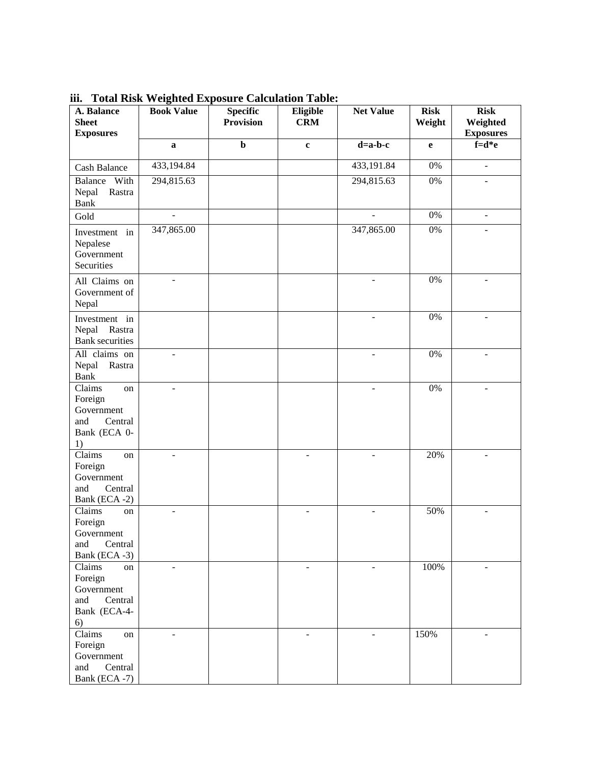| A. Balance<br><b>Sheet</b><br><b>Exposures</b>                                | <b>Book Value</b>        | <b>Specific</b><br><b>Provision</b> | Eligible<br><b>CRM</b>   | <b>Net Value</b>         | <b>Risk</b><br>Weight | <b>Risk</b><br>Weighted<br><b>Exposures</b> |
|-------------------------------------------------------------------------------|--------------------------|-------------------------------------|--------------------------|--------------------------|-----------------------|---------------------------------------------|
|                                                                               | $\mathbf{a}$             | $\mathbf b$                         | $\mathbf c$              | $d=a-b-c$                | e                     | $f=d*e$                                     |
| Cash Balance                                                                  | 433,194.84               |                                     |                          | 433,191.84               | $0\%$                 | $\overline{\phantom{a}}$                    |
| Balance<br>With<br>Nepal<br>Rastra<br><b>Bank</b>                             | 294,815.63               |                                     |                          | 294,815.63               | $0\%$                 |                                             |
| Gold                                                                          | $\sim$                   |                                     |                          | $\overline{a}$           | $0\%$                 | $\equiv$                                    |
| Investment in<br>Nepalese<br>Government<br>Securities                         | 347,865.00               |                                     |                          | 347,865.00               | $0\%$                 |                                             |
| All Claims on<br>Government of<br>Nepal                                       | $\blacksquare$           |                                     |                          | $\overline{\phantom{m}}$ | $0\%$                 | $\overline{\phantom{a}}$                    |
| Investment in<br>Nepal<br>Rastra<br><b>Bank</b> securities                    |                          |                                     |                          |                          | $0\%$                 |                                             |
| All claims on<br>Nepal<br>Rastra<br><b>Bank</b>                               | $\overline{\phantom{a}}$ |                                     |                          | $\overline{\phantom{a}}$ | $0\%$                 | $\blacksquare$                              |
| Claims<br>on<br>Foreign<br>Government<br>and<br>Central<br>Bank (ECA 0-<br>1) |                          |                                     |                          |                          | $0\%$                 |                                             |
| Claims<br>on<br>Foreign<br>Government<br>and<br>Central<br>Bank (ECA -2)      | $\overline{a}$           |                                     | $\overline{a}$           | $\overline{a}$           | 20%                   | $\overline{a}$                              |
| Claims<br>on<br>Foreign<br>Government<br>Central<br>and<br>Bank (ECA -3)      | $\overline{\phantom{a}}$ |                                     | $\overline{a}$           | $\blacksquare$           | 50%                   | $\overline{\phantom{a}}$                    |
| Claims<br>on<br>Foreign<br>Government<br>and<br>Central<br>Bank (ECA-4-<br>6) | $\overline{a}$           |                                     | $\overline{\phantom{a}}$ | ÷                        | 100%                  | $\overline{a}$                              |
| Claims<br>on<br>Foreign<br>Government<br>and<br>Central<br>Bank (ECA -7)      | $\overline{a}$           |                                     | $\overline{a}$           | $\overline{\phantom{a}}$ | 150%                  | $\overline{a}$                              |

**iii. Total Risk Weighted Exposure Calculation Table:**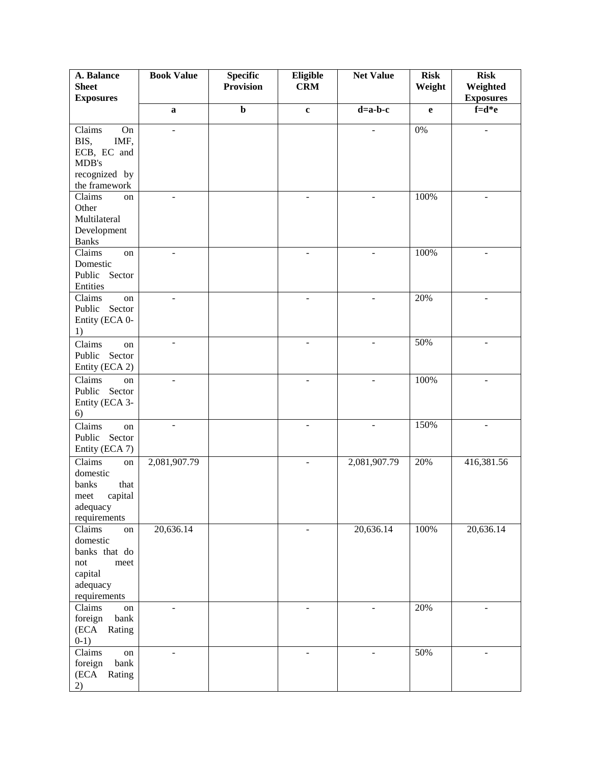| A. Balance                                                                                                 | <b>Book Value</b>        | <b>Specific</b>  | Eligible                 | <b>Net Value</b>         | <b>Risk</b>  | <b>Risk</b>                  |
|------------------------------------------------------------------------------------------------------------|--------------------------|------------------|--------------------------|--------------------------|--------------|------------------------------|
| <b>Sheet</b><br><b>Exposures</b>                                                                           |                          | <b>Provision</b> | <b>CRM</b>               |                          | Weight       | Weighted<br><b>Exposures</b> |
|                                                                                                            | $\mathbf{a}$             | $\mathbf b$      | $\mathbf{c}$             | $d=a-b-c$                | $\mathbf{e}$ | $f = d * e$                  |
| $\overline{\text{Claims}}$<br>On<br>BIS,<br>IMF,<br>ECB, EC and<br>MDB's<br>recognized by<br>the framework | ÷,                       |                  |                          |                          | 0%           | $\overline{\phantom{a}}$     |
| Claims<br>on<br>Other<br>Multilateral<br>Development<br><b>Banks</b>                                       | $\overline{\phantom{0}}$ |                  |                          | $\overline{a}$           | 100%         | ÷                            |
| Claims<br>on<br>Domestic<br>Public Sector<br>Entities                                                      | ÷,                       |                  |                          |                          | 100%         |                              |
| Claims<br>on<br>Sector<br>Public<br>Entity (ECA 0-<br>1)                                                   | $\overline{\phantom{a}}$ |                  | $\blacksquare$           | $\blacksquare$           | 20%          | ÷                            |
| Claims<br>on<br>Public Sector<br>Entity (ECA 2)                                                            | $\blacksquare$           |                  | $\overline{\phantom{a}}$ | $\overline{\phantom{m}}$ | 50%          | $\overline{\phantom{a}}$     |
| Claims<br>on<br>Public<br>Sector<br>Entity (ECA 3-<br>6)                                                   | $\overline{a}$           |                  | $\overline{a}$           | $\overline{a}$           | 100%         |                              |
| Claims<br>on<br>Public<br>Sector<br>Entity (ECA 7)                                                         | $\overline{\phantom{a}}$ |                  | $\blacksquare$           | $\blacksquare$           | 150%         | $\blacksquare$               |
| Claims<br>on<br>domestic<br>that<br>banks<br>capital<br>meet<br>adequacy<br>requirements                   | 2,081,907.79             |                  | $\blacksquare$           | 2,081,907.79             | 20%          | 416,381.56                   |
| Claims<br>on<br>domestic<br>banks that do<br>not<br>meet<br>capital<br>adequacy<br>requirements            | 20,636.14                |                  | $\overline{\phantom{a}}$ | 20,636.14                | 100%         | 20,636.14                    |
| Claims<br>on<br>foreign<br>bank<br>(ECA Rating<br>$0-1)$                                                   | -                        |                  | $\overline{\phantom{m}}$ | ä,                       | 20%          | $\overline{\phantom{0}}$     |
| Claims<br>on<br>bank<br>foreign<br>(ECA<br>Rating<br>2)                                                    | $\overline{a}$           |                  | $\overline{a}$           |                          | 50%          |                              |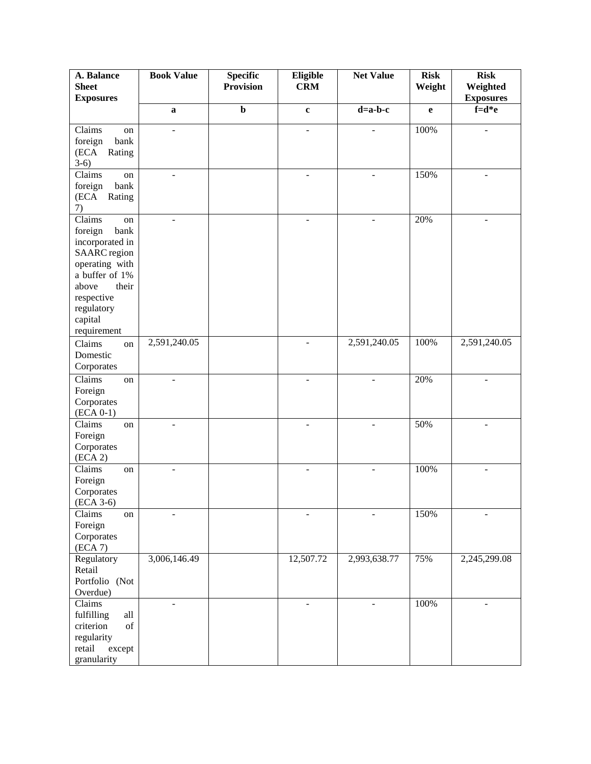| A. Balance<br><b>Sheet</b>       | <b>Book Value</b>            | <b>Specific</b><br><b>Provision</b> | Eligible<br><b>CRM</b>   | <b>Net Value</b> | <b>Risk</b><br>Weight | <b>Risk</b><br>Weighted |
|----------------------------------|------------------------------|-------------------------------------|--------------------------|------------------|-----------------------|-------------------------|
| <b>Exposures</b>                 |                              |                                     |                          |                  |                       | <b>Exposures</b>        |
|                                  | $\bf a$                      | $\mathbf b$                         | $\mathbf c$              | $d=a-b-c$        | $\mathbf e$           | $f=d*e$                 |
| Claims<br>on                     | L.                           |                                     | ÷,                       |                  | 100%                  |                         |
| bank<br>foreign                  |                              |                                     |                          |                  |                       |                         |
| (ECA<br>Rating                   |                              |                                     |                          |                  |                       |                         |
| $3-6)$                           |                              |                                     |                          |                  |                       |                         |
| Claims<br>on                     | $\overline{\phantom{a}}$     |                                     | $\overline{\phantom{a}}$ |                  | 150%                  |                         |
| bank<br>foreign                  |                              |                                     |                          |                  |                       |                         |
| (ECA<br>Rating                   |                              |                                     |                          |                  |                       |                         |
| 7)                               |                              |                                     |                          |                  |                       |                         |
| Claims<br>on                     | ÷                            |                                     | $\overline{\phantom{a}}$ |                  | 20%                   |                         |
| foreign<br>bank                  |                              |                                     |                          |                  |                       |                         |
| incorporated in                  |                              |                                     |                          |                  |                       |                         |
| <b>SAARC</b> region              |                              |                                     |                          |                  |                       |                         |
| operating with<br>a buffer of 1% |                              |                                     |                          |                  |                       |                         |
| their<br>above                   |                              |                                     |                          |                  |                       |                         |
| respective                       |                              |                                     |                          |                  |                       |                         |
| regulatory                       |                              |                                     |                          |                  |                       |                         |
| capital                          |                              |                                     |                          |                  |                       |                         |
| requirement                      |                              |                                     |                          |                  |                       |                         |
| Claims<br>on                     | 2,591,240.05                 |                                     | $\blacksquare$           | 2,591,240.05     | 100%                  | 2,591,240.05            |
| Domestic                         |                              |                                     |                          |                  |                       |                         |
| Corporates                       |                              |                                     |                          |                  |                       |                         |
| Claims<br>on                     | $\overline{a}$               |                                     |                          |                  | 20%                   |                         |
| Foreign                          |                              |                                     |                          |                  |                       |                         |
| Corporates                       |                              |                                     |                          |                  |                       |                         |
| $(ECA 0-1)$                      |                              |                                     |                          |                  |                       |                         |
| Claims<br>on                     | $\qquad \qquad \blacksquare$ |                                     | $\blacksquare$           |                  | 50%                   |                         |
| Foreign                          |                              |                                     |                          |                  |                       |                         |
| Corporates                       |                              |                                     |                          |                  |                       |                         |
| (ECA 2)                          |                              |                                     |                          |                  |                       |                         |
| Claims<br>on                     | $\overline{\phantom{0}}$     |                                     | $\overline{\phantom{0}}$ |                  | 100%                  |                         |
| Foreign                          |                              |                                     |                          |                  |                       |                         |
| Corporates                       |                              |                                     |                          |                  |                       |                         |
| $(ECA 3-6)$                      |                              |                                     |                          |                  |                       |                         |
| Claims<br>on                     |                              |                                     |                          |                  | 150%                  |                         |
| Foreign<br>Corporates            |                              |                                     |                          |                  |                       |                         |
| (ECA 7)                          |                              |                                     |                          |                  |                       |                         |
| Regulatory                       | 3,006,146.49                 |                                     | 12,507.72                | 2,993,638.77     | 75%                   | 2,245,299.08            |
| Retail                           |                              |                                     |                          |                  |                       |                         |
| Portfolio (Not                   |                              |                                     |                          |                  |                       |                         |
| Overdue)                         |                              |                                     |                          |                  |                       |                         |
| Claims                           | ÷,                           |                                     | $\overline{a}$           | ٠                | 100%                  |                         |
| fulfilling<br>all                |                              |                                     |                          |                  |                       |                         |
| criterion<br>of                  |                              |                                     |                          |                  |                       |                         |
| regularity                       |                              |                                     |                          |                  |                       |                         |
| retail<br>except                 |                              |                                     |                          |                  |                       |                         |
| granularity                      |                              |                                     |                          |                  |                       |                         |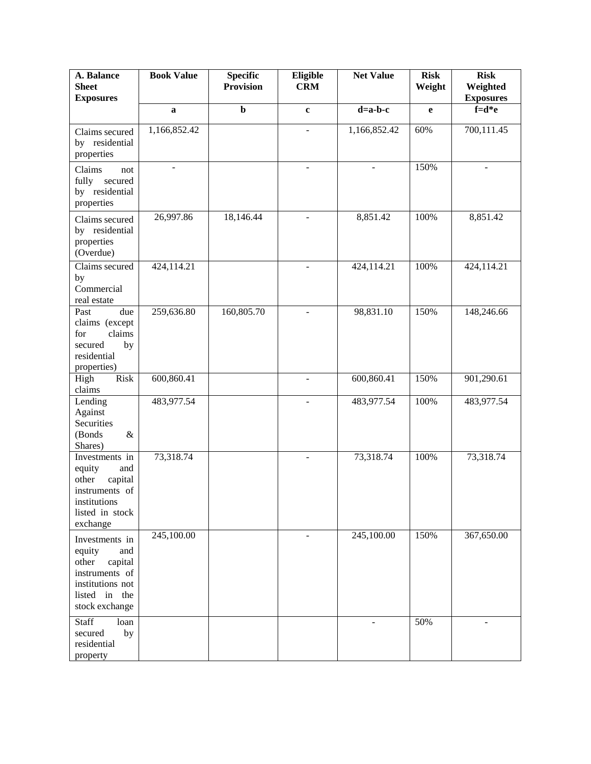| A. Balance<br><b>Sheet</b><br><b>Exposures</b>                                                                               | <b>Book Value</b> | <b>Specific</b><br><b>Provision</b> | Eligible<br><b>CRM</b>   | <b>Net Value</b> | <b>Risk</b><br>Weight | <b>Risk</b><br>Weighted<br><b>Exposures</b> |
|------------------------------------------------------------------------------------------------------------------------------|-------------------|-------------------------------------|--------------------------|------------------|-----------------------|---------------------------------------------|
|                                                                                                                              | $\mathbf a$       | $\mathbf b$                         | $\mathbf c$              | $d=a-b-c$        | e                     | $f=d*e$                                     |
| Claims secured<br>by residential<br>properties                                                                               | 1,166,852.42      |                                     | $\overline{a}$           | 1,166,852.42     | 60%                   | 700,111.45                                  |
| Claims<br>not<br>fully<br>secured<br>by residential<br>properties                                                            | ÷                 |                                     | $\blacksquare$           |                  | 150%                  |                                             |
| Claims secured<br>by residential<br>properties<br>(Overdue)                                                                  | 26,997.86         | 18,146.44                           | $\blacksquare$           | 8,851.42         | 100%                  | 8,851.42                                    |
| Claims secured<br>by<br>Commercial<br>real estate                                                                            | 424,114.21        |                                     | $\overline{\phantom{a}}$ | 424,114.21       | 100%                  | 424,114.21                                  |
| Past<br>due<br>claims (except<br>claims<br>for<br>secured<br>by<br>residential<br>properties)                                | 259,636.80        | 160,805.70                          | $\blacksquare$           | 98,831.10        | 150%                  | 148,246.66                                  |
| Risk<br>High<br>claims                                                                                                       | 600,860.41        |                                     |                          | 600,860.41       | 150%                  | 901,290.61                                  |
| Lending<br>Against<br>Securities<br>(Bonds<br>$\&$<br>Shares)                                                                | 483,977.54        |                                     | $\overline{a}$           | 483,977.54       | 100%                  | 483,977.54                                  |
| Investments in<br>equity<br>and<br>capital<br>other<br>instruments of<br>institutions<br>listed in stock<br>exchange         | 73,318.74         |                                     | $\sim$                   | 73,318.74        | 100%                  | 73,318.74                                   |
| Investments in<br>equity<br>and<br>other<br>capital<br>instruments of<br>institutions not<br>listed in the<br>stock exchange | 245,100.00        |                                     |                          | 245,100.00       | 150%                  | 367,650.00                                  |
| Staff<br>loan<br>secured<br>by<br>residential<br>property                                                                    |                   |                                     |                          |                  | 50%                   |                                             |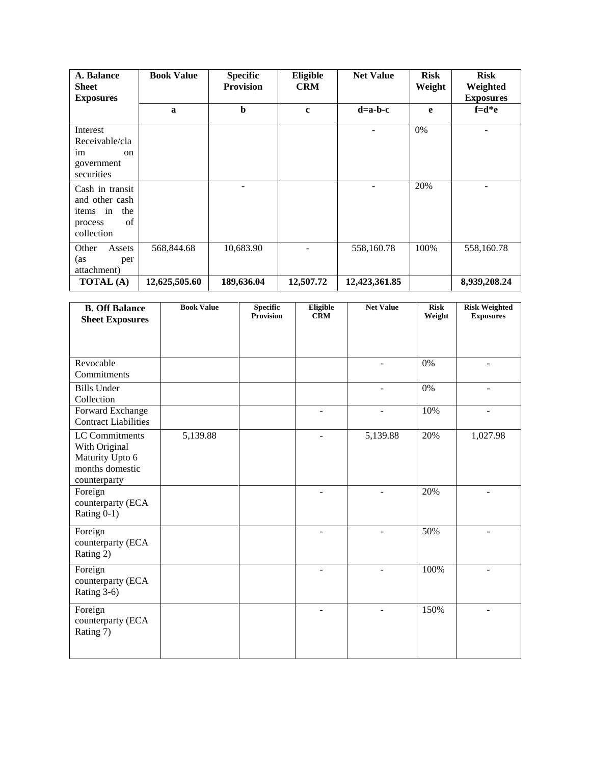| A. Balance<br><b>Sheet</b><br><b>Exposures</b>                                         | <b>Book Value</b> | <b>Specific</b><br><b>Provision</b> | Eligible<br><b>CRM</b> | <b>Net Value</b> | <b>Risk</b><br>Weight | <b>Risk</b><br>Weighted<br><b>Exposures</b> |
|----------------------------------------------------------------------------------------|-------------------|-------------------------------------|------------------------|------------------|-----------------------|---------------------------------------------|
|                                                                                        | a                 | $\mathbf b$                         | $\mathbf{c}$           | $d=a-b-c$        | e                     | $f = d * e$                                 |
| Interest<br>Receivable/cla<br>im<br><sub>on</sub><br>government<br>securities          |                   |                                     |                        |                  | $0\%$                 |                                             |
| Cash in transit<br>and other cash<br>in<br>the<br>items<br>of<br>process<br>collection |                   |                                     |                        |                  | 20%                   |                                             |
| Other<br>Assets<br>(as<br>per<br>attachment)                                           | 568,844.68        | 10,683.90                           |                        | 558,160.78       | 100%                  | 558,160.78                                  |
| <b>TOTAL</b> (A)                                                                       | 12,625,505.60     | 189,636.04                          | 12,507.72              | 12,423,361.85    |                       | 8,939,208.24                                |

| <b>B. Off Balance</b>                                                 | <b>Book Value</b> | <b>Specific</b><br><b>Provision</b> | Eligible<br><b>CRM</b> | <b>Net Value</b> | <b>Risk</b><br>Weight | <b>Risk Weighted</b><br><b>Exposures</b> |
|-----------------------------------------------------------------------|-------------------|-------------------------------------|------------------------|------------------|-----------------------|------------------------------------------|
| <b>Sheet Exposures</b>                                                |                   |                                     |                        |                  |                       |                                          |
|                                                                       |                   |                                     |                        |                  |                       |                                          |
| Revocable                                                             |                   |                                     |                        |                  |                       |                                          |
| Commitments                                                           |                   |                                     |                        |                  | 0%                    |                                          |
| <b>Bills Under</b><br>Collection                                      |                   |                                     |                        | $\blacksquare$   | 0%                    | $\blacksquare$                           |
| Forward Exchange<br><b>Contract Liabilities</b>                       |                   |                                     |                        |                  | 10%                   |                                          |
| LC Commitments<br>With Original<br>Maturity Upto 6<br>months domestic | 5,139.88          |                                     |                        | 5,139.88         | 20%                   | 1,027.98                                 |
| counterparty<br>Foreign<br>counterparty (ECA<br>Rating 0-1)           |                   |                                     |                        |                  | 20%                   |                                          |
| Foreign<br>counterparty (ECA<br>Rating 2)                             |                   |                                     | $\overline{a}$         | ÷.               | 50%                   | $\overline{a}$                           |
| Foreign<br>counterparty (ECA<br>Rating 3-6)                           |                   |                                     | $\overline{a}$         | ÷                | 100%                  | ÷.                                       |
| Foreign<br>counterparty (ECA<br>Rating 7)                             |                   |                                     |                        |                  | 150%                  |                                          |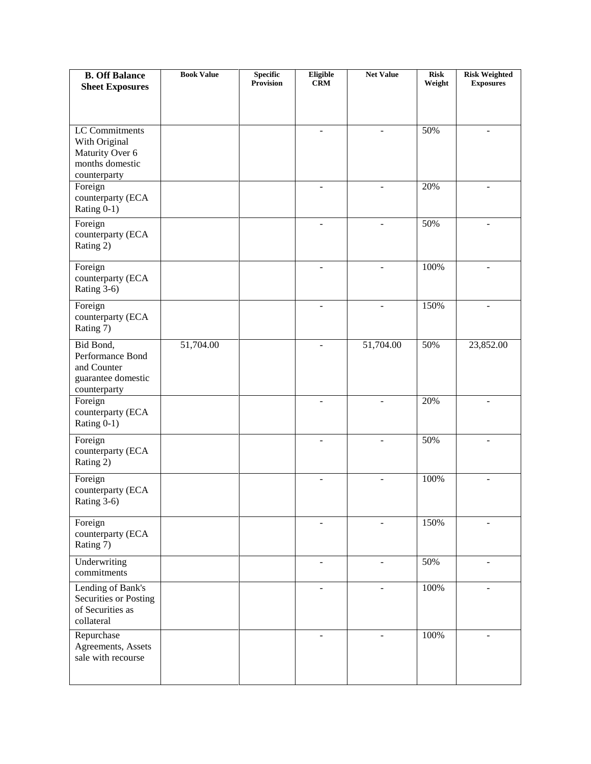| <b>B. Off Balance</b>                    | <b>Book Value</b> | <b>Specific</b><br><b>Provision</b> | Eligible<br><b>CRM</b>   | <b>Net Value</b> | <b>Risk</b> | <b>Risk Weighted</b>     |
|------------------------------------------|-------------------|-------------------------------------|--------------------------|------------------|-------------|--------------------------|
| <b>Sheet Exposures</b>                   |                   |                                     |                          |                  | Weight      | <b>Exposures</b>         |
|                                          |                   |                                     |                          |                  |             |                          |
|                                          |                   |                                     |                          |                  |             |                          |
| LC Commitments                           |                   |                                     |                          |                  | 50%         |                          |
| With Original                            |                   |                                     |                          |                  |             |                          |
| Maturity Over 6                          |                   |                                     |                          |                  |             |                          |
| months domestic                          |                   |                                     |                          |                  |             |                          |
| counterparty<br>Foreign                  |                   |                                     | $\sim$                   | $\blacksquare$   | 20%         | $\blacksquare$           |
| counterparty (ECA                        |                   |                                     |                          |                  |             |                          |
| Rating 0-1)                              |                   |                                     |                          |                  |             |                          |
| Foreign                                  |                   |                                     | ÷.                       | ÷.               | 50%         | $\overline{a}$           |
| counterparty (ECA                        |                   |                                     |                          |                  |             |                          |
| Rating 2)                                |                   |                                     |                          |                  |             |                          |
|                                          |                   |                                     |                          |                  |             |                          |
| Foreign                                  |                   |                                     | $\overline{a}$           | $\overline{a}$   | 100%        | ÷.                       |
| counterparty (ECA                        |                   |                                     |                          |                  |             |                          |
| Rating 3-6)                              |                   |                                     |                          |                  |             |                          |
| Foreign                                  |                   |                                     |                          |                  | 150%        |                          |
| counterparty (ECA                        |                   |                                     |                          |                  |             |                          |
| Rating 7)                                |                   |                                     |                          |                  |             |                          |
| Bid Bond,                                | 51,704.00         |                                     | $\overline{a}$           | 51,704.00        | 50%         | 23,852.00                |
| Performance Bond                         |                   |                                     |                          |                  |             |                          |
| and Counter                              |                   |                                     |                          |                  |             |                          |
| guarantee domestic<br>counterparty       |                   |                                     |                          |                  |             |                          |
| Foreign                                  |                   |                                     | $\overline{\phantom{a}}$ |                  | 20%         |                          |
| counterparty (ECA                        |                   |                                     |                          |                  |             |                          |
| Rating 0-1)                              |                   |                                     |                          |                  |             |                          |
| Foreign                                  |                   |                                     |                          |                  | 50%         |                          |
| counterparty (ECA                        |                   |                                     |                          |                  |             |                          |
| Rating 2)                                |                   |                                     |                          |                  |             |                          |
| Foreign                                  |                   |                                     |                          |                  | 100%        |                          |
| counterparty (ECA                        |                   |                                     |                          |                  |             |                          |
| Rating 3-6)                              |                   |                                     |                          |                  |             |                          |
|                                          |                   |                                     |                          |                  |             |                          |
| Foreign                                  |                   |                                     |                          |                  | 150%        |                          |
| counterparty (ECA                        |                   |                                     |                          |                  |             |                          |
| Rating 7)                                |                   |                                     |                          |                  |             |                          |
| Underwriting                             |                   |                                     | $\blacksquare$           | $\blacksquare$   | 50%         | $\overline{\phantom{a}}$ |
| commitments                              |                   |                                     |                          |                  |             |                          |
| Lending of Bank's                        |                   |                                     | ÷.                       | $\sim$           | 100%        | ÷.                       |
| Securities or Posting                    |                   |                                     |                          |                  |             |                          |
| of Securities as<br>collateral           |                   |                                     |                          |                  |             |                          |
|                                          |                   |                                     |                          |                  |             |                          |
| Repurchase                               |                   |                                     |                          |                  | 100%        |                          |
| Agreements, Assets<br>sale with recourse |                   |                                     |                          |                  |             |                          |
|                                          |                   |                                     |                          |                  |             |                          |
|                                          |                   |                                     |                          |                  |             |                          |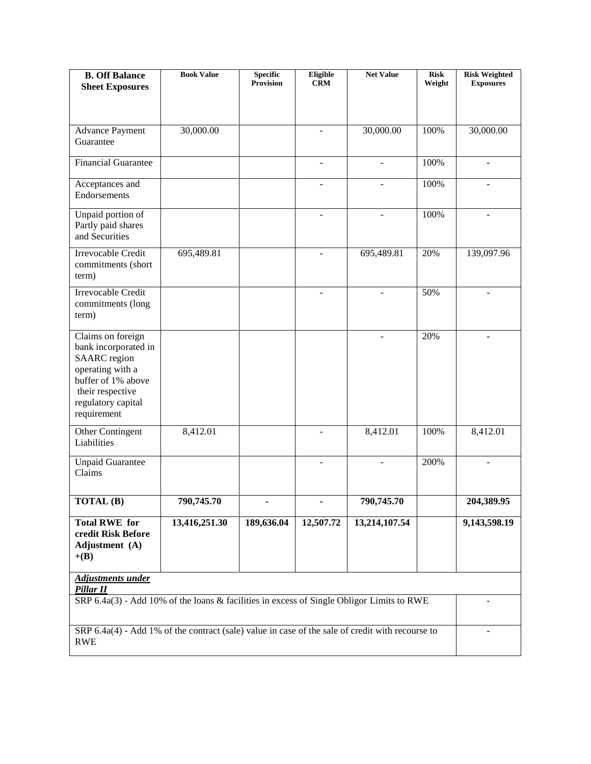| <b>B. Off Balance</b><br><b>Sheet Exposures</b>                                                                                                                     | <b>Book Value</b> | <b>Specific</b><br>Provision | Eligible<br><b>CRM</b> | <b>Net Value</b> | <b>Risk</b><br>Weight | <b>Risk Weighted</b><br><b>Exposures</b> |
|---------------------------------------------------------------------------------------------------------------------------------------------------------------------|-------------------|------------------------------|------------------------|------------------|-----------------------|------------------------------------------|
|                                                                                                                                                                     |                   |                              |                        |                  |                       |                                          |
| <b>Advance Payment</b><br>Guarantee                                                                                                                                 | 30,000.00         |                              |                        | 30,000.00        | 100%                  | 30,000.00                                |
| <b>Financial Guarantee</b>                                                                                                                                          |                   |                              | $\blacksquare$         |                  | 100%                  | $\blacksquare$                           |
| Acceptances and<br>Endorsements                                                                                                                                     |                   |                              |                        |                  | 100%                  |                                          |
| Unpaid portion of<br>Partly paid shares<br>and Securities                                                                                                           |                   |                              | $\blacksquare$         |                  | 100%                  | $\blacksquare$                           |
| Irrevocable Credit<br>commitments (short<br>term)                                                                                                                   | 695,489.81        |                              |                        | 695,489.81       | 20%                   | 139,097.96                               |
| Irrevocable Credit<br>commitments (long<br>term)                                                                                                                    |                   |                              |                        |                  | 50%                   |                                          |
| Claims on foreign<br>bank incorporated in<br><b>SAARC</b> region<br>operating with a<br>buffer of 1% above<br>their respective<br>regulatory capital<br>requirement |                   |                              |                        |                  | 20%                   | $\blacksquare$                           |
| Other Contingent<br>Liabilities                                                                                                                                     | 8,412.01          |                              |                        | 8,412.01         | 100%                  | 8,412.01                                 |
| <b>Unpaid Guarantee</b><br>Claims                                                                                                                                   |                   |                              |                        |                  | 200%                  |                                          |
| TOTAL (B)                                                                                                                                                           | 790,745.70        |                              |                        | 790,745.70       |                       | 204,389.95                               |
| <b>Total RWE</b> for<br>credit Risk Before<br>Adjustment (A)<br>$+(B)$                                                                                              | 13,416,251.30     | 189,636.04                   | 12,507.72              | 13,214,107.54    |                       | 9,143,598.19                             |
| Adjustments under<br>Pillar II                                                                                                                                      |                   |                              |                        |                  |                       |                                          |
| SRP 6.4a(3) - Add 10% of the loans & facilities in excess of Single Obligor Limits to RWE                                                                           |                   |                              |                        |                  |                       |                                          |
| SRP 6.4a(4) - Add 1% of the contract (sale) value in case of the sale of credit with recourse to<br><b>RWE</b>                                                      |                   |                              |                        |                  |                       |                                          |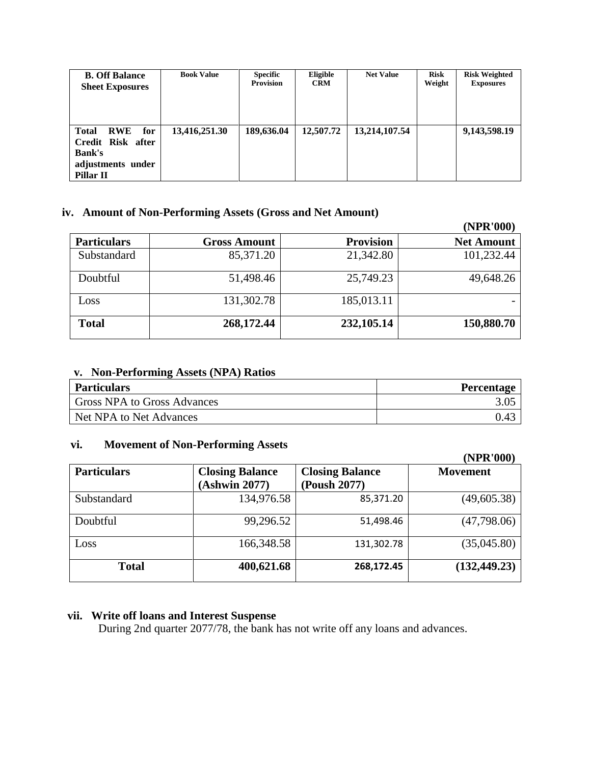| <b>B. Off Balance</b><br><b>Sheet Exposures</b>                                                           | <b>Book Value</b> | <b>Specific</b><br><b>Provision</b> | Eligible<br><b>CRM</b> | <b>Net Value</b> | <b>Risk</b><br>Weight | <b>Risk Weighted</b><br><b>Exposures</b> |
|-----------------------------------------------------------------------------------------------------------|-------------------|-------------------------------------|------------------------|------------------|-----------------------|------------------------------------------|
| <b>Total</b><br>for<br><b>RWE</b><br>Credit Risk after<br><b>Bank's</b><br>adjustments under<br>Pillar II | 13,416,251.30     | 189,636.04                          | 12,507.72              | 13,214,107.54    |                       | 9,143,598.19                             |

#### **iv. Amount of Non-Performing Assets (Gross and Net Amount)**

|                    |                     |                  | (NPR'000)         |
|--------------------|---------------------|------------------|-------------------|
| <b>Particulars</b> | <b>Gross Amount</b> | <b>Provision</b> | <b>Net Amount</b> |
| Substandard        | 85,371.20           | 21,342.80        | 101,232.44        |
| Doubtful           | 51,498.46           | 25,749.23        | 49,648.26         |
| Loss               | 131,302.78          | 185,013.11       |                   |
| <b>Total</b>       | 268,172.44          | 232,105.14       | 150,880.70        |

### **v. Non-Performing Assets (NPA) Ratios**

| <b>Particulars</b>          | <b>Percentage</b> |
|-----------------------------|-------------------|
| Gross NPA to Gross Advances |                   |
| Net NPA to Net Advances     | 0.43              |

## **vi. Movement of Non-Performing Assets**

|                    |                                         |                                        | (NPR'000)       |
|--------------------|-----------------------------------------|----------------------------------------|-----------------|
| <b>Particulars</b> | <b>Closing Balance</b><br>(Ashwin 2077) | <b>Closing Balance</b><br>(Poush 2077) | <b>Movement</b> |
| Substandard        | 134,976.58                              | 85,371.20                              | (49,605.38)     |
| Doubtful           | 99,296.52                               | 51,498.46                              | (47,798.06)     |
| Loss               | 166,348.58                              | 131,302.78                             | (35,045.80)     |
| <b>Total</b>       | 400,621.68                              | 268,172.45                             | (132, 449.23)   |

## **vii. Write off loans and Interest Suspense**

During 2nd quarter 2077/78, the bank has not write off any loans and advances.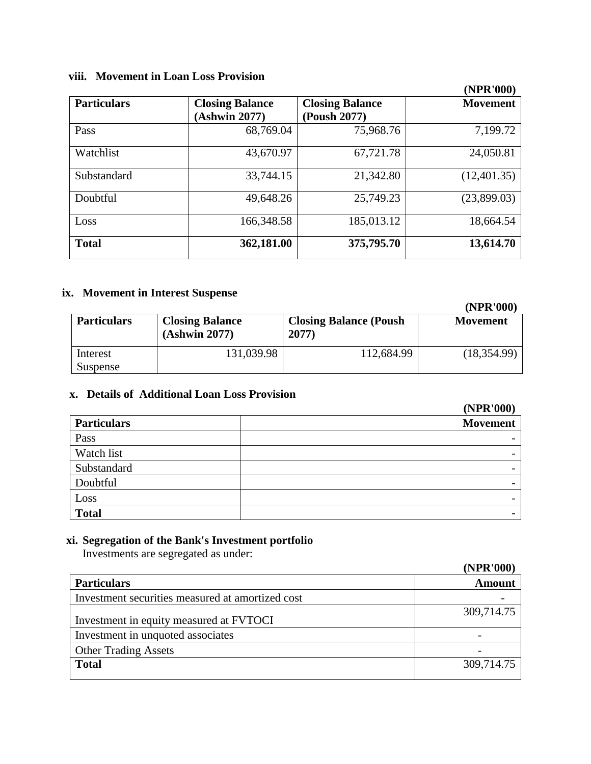# **viii. Movement in Loan Loss Provision**

|                    |                                         |                                        | (IVEIN VVV)     |
|--------------------|-----------------------------------------|----------------------------------------|-----------------|
| <b>Particulars</b> | <b>Closing Balance</b><br>(Ashwin 2077) | <b>Closing Balance</b><br>(Poush 2077) | <b>Movement</b> |
| Pass               | 68,769.04                               | 75,968.76                              | 7,199.72        |
| Watchlist          | 43,670.97                               | 67,721.78                              | 24,050.81       |
| Substandard        | 33,744.15                               | 21,342.80                              | (12,401.35)     |
| Doubtful           | 49,648.26                               | 25,749.23                              | (23,899.03)     |
| Loss               | 166,348.58                              | 185,013.12                             | 18,664.54       |
| <b>Total</b>       | 362,181.00                              | 375,795.70                             | 13,614.70       |

### **ix. Movement in Interest Suspense**

|                      |                                         |                                        | (NPR'000)       |
|----------------------|-----------------------------------------|----------------------------------------|-----------------|
| <b>Particulars</b>   | <b>Closing Balance</b><br>(Ashwin 2077) | <b>Closing Balance (Poush</b><br>2077) | <b>Movement</b> |
| Interest<br>Suspense | 131,039.98                              | 112,684.99                             | (18,354.99)     |

## **x. Details of Additional Loan Loss Provision**

|                    | (NPK'000)                |
|--------------------|--------------------------|
| <b>Particulars</b> | <b>Movement</b>          |
| Pass               | $\overline{\phantom{0}}$ |
| Watch list         | $\overline{\phantom{0}}$ |
| Substandard        | $\overline{\phantom{0}}$ |
| Doubtful           | $\overline{\phantom{0}}$ |
| Loss               | -                        |
| <b>Total</b>       | $\overline{\phantom{0}}$ |

## **xi. Segregation of the Bank's Investment portfolio**

Investments are segregated as under:

|                                                  | (NPR'000)     |
|--------------------------------------------------|---------------|
| <b>Particulars</b>                               | <b>Amount</b> |
| Investment securities measured at amortized cost |               |
| Investment in equity measured at FVTOCI          | 309,714.75    |
| Investment in unquoted associates                |               |
| <b>Other Trading Assets</b>                      |               |
| <b>Total</b>                                     | 309,714.75    |

# **(NPR'000)**

**(NPR'000)**